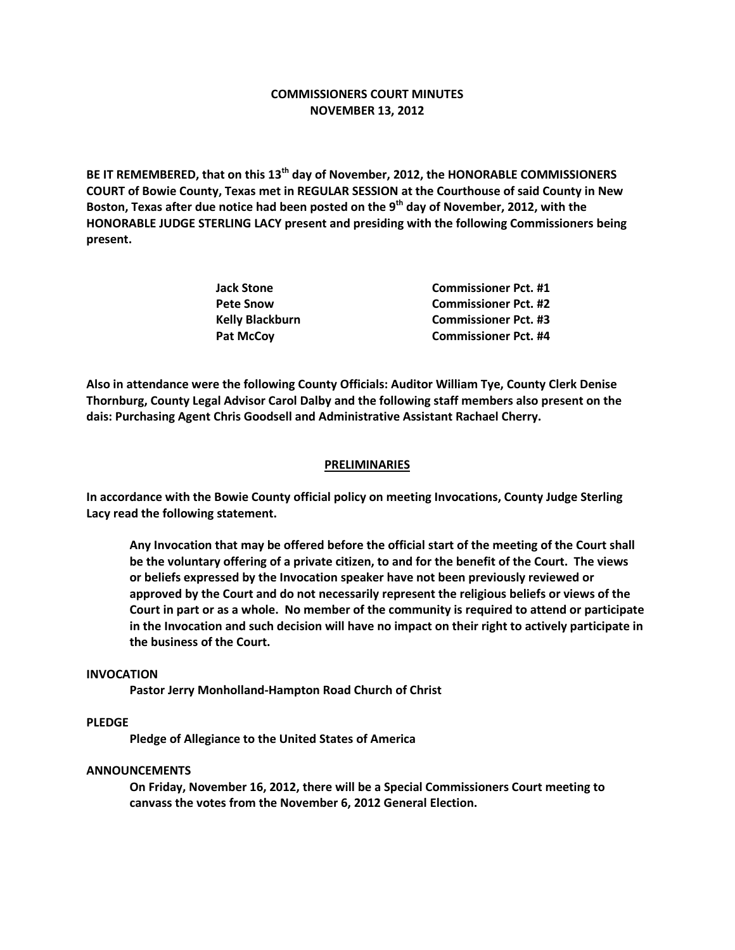# **COMMISSIONERS COURT MINUTES NOVEMBER 13, 2012**

**BE IT REMEMBERED, that on this 13th day of November, 2012, the HONORABLE COMMISSIONERS COURT of Bowie County, Texas met in REGULAR SESSION at the Courthouse of said County in New Boston, Texas after due notice had been posted on the 9th day of November, 2012, with the HONORABLE JUDGE STERLING LACY present and presiding with the following Commissioners being present.**

| <b>Commissioner Pct. #1</b> |
|-----------------------------|
| <b>Commissioner Pct. #2</b> |
| <b>Commissioner Pct. #3</b> |
| <b>Commissioner Pct. #4</b> |
|                             |

**Also in attendance were the following County Officials: Auditor William Tye, County Clerk Denise Thornburg, County Legal Advisor Carol Dalby and the following staff members also present on the dais: Purchasing Agent Chris Goodsell and Administrative Assistant Rachael Cherry.**

#### **PRELIMINARIES**

**In accordance with the Bowie County official policy on meeting Invocations, County Judge Sterling Lacy read the following statement.**

**Any Invocation that may be offered before the official start of the meeting of the Court shall be the voluntary offering of a private citizen, to and for the benefit of the Court. The views or beliefs expressed by the Invocation speaker have not been previously reviewed or approved by the Court and do not necessarily represent the religious beliefs or views of the Court in part or as a whole. No member of the community is required to attend or participate in the Invocation and such decision will have no impact on their right to actively participate in the business of the Court.**

#### **INVOCATION**

**Pastor Jerry Monholland-Hampton Road Church of Christ**

## **PLEDGE**

**Pledge of Allegiance to the United States of America**

## **ANNOUNCEMENTS**

**On Friday, November 16, 2012, there will be a Special Commissioners Court meeting to canvass the votes from the November 6, 2012 General Election.**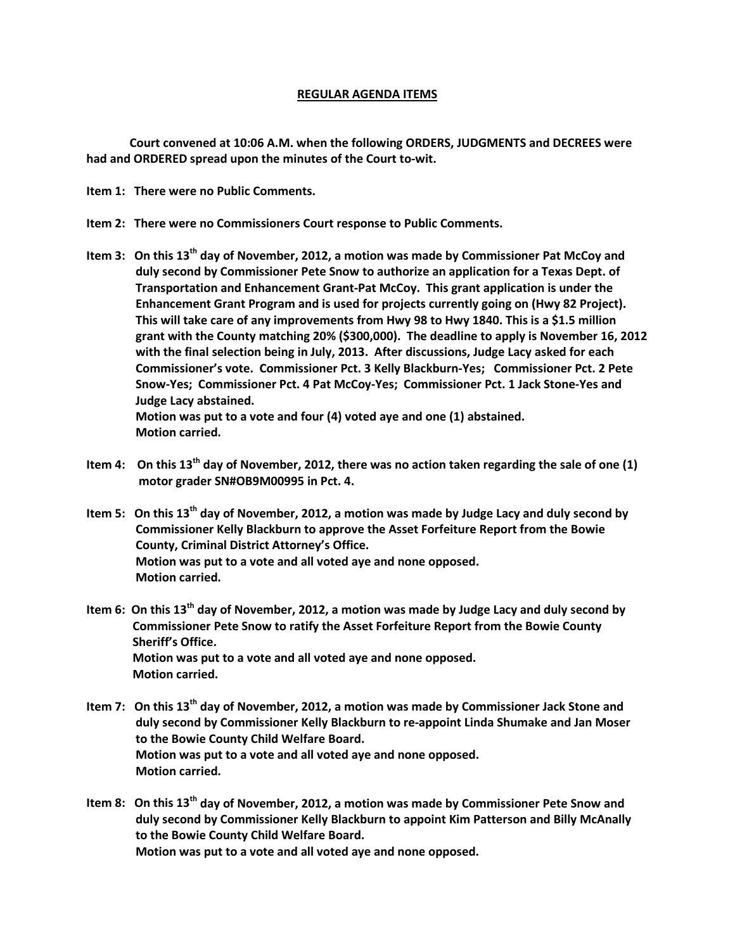# **REGULAR AGENDA ITEMS**

**Court convened at 10:06 A.M. when the following ORDERS, JUDGMENTS and DECREES were had and ORDERED spread upon the minutes of the Court to-wit.**

**Item 1: There were no Public Comments.**

- **Item 2: There were no Commissioners Court response to Public Comments.**
- **Item 3: On this 13th day of November, 2012, a motion was made by Commissioner Pat McCoy and duly second by Commissioner Pete Snow to authorize an application for a Texas Dept. of Transportation and Enhancement Grant-Pat McCoy. This grant application is under the Enhancement Grant Program and is used for projects currently going on (Hwy 82 Project). This will take care of any improvements from Hwy 98 to Hwy 1840. This is a \$1.5 million grant with the County matching 20% (\$300,000). The deadline to apply is November 16, 2012 with the final selection being in July, 2013. After discussions, Judge Lacy asked for each Commissioner's vote. Commissioner Pct. 3 Kelly Blackburn-Yes; Commissioner Pct. 2 Pete Snow-Yes; Commissioner Pct. 4 Pat McCoy-Yes; Commissioner Pct. 1 Jack Stone-Yes and Judge Lacy abstained. Motion was put to a vote and four (4) voted aye and one (1) abstained.**

 **Motion carried.**

- **Item 4: On this 13th day of November, 2012, there was no action taken regarding the sale of one (1) motor grader SN#OB9M00995 in Pct. 4.**
- **Item 5: On this 13th day of November, 2012, a motion was made by Judge Lacy and duly second by Commissioner Kelly Blackburn to approve the Asset Forfeiture Report from the Bowie County, Criminal District Attorney's Office. Motion was put to a vote and all voted aye and none opposed. Motion carried.**
- **Item 6: On this 13th day of November, 2012, a motion was made by Judge Lacy and duly second by Commissioner Pete Snow to ratify the Asset Forfeiture Report from the Bowie County Sheriff's Office. Motion was put to a vote and all voted aye and none opposed. Motion carried.**
- **Item 7: On this 13th day of November, 2012, a motion was made by Commissioner Jack Stone and duly second by Commissioner Kelly Blackburn to re-appoint Linda Shumake and Jan Moser to the Bowie County Child Welfare Board. Motion was put to a vote and all voted aye and none opposed. Motion carried.**
- **Item 8: On this 13th day of November, 2012, a motion was made by Commissioner Pete Snow and duly second by Commissioner Kelly Blackburn to appoint Kim Patterson and Billy McAnally to the Bowie County Child Welfare Board. Motion was put to a vote and all voted aye and none opposed.**